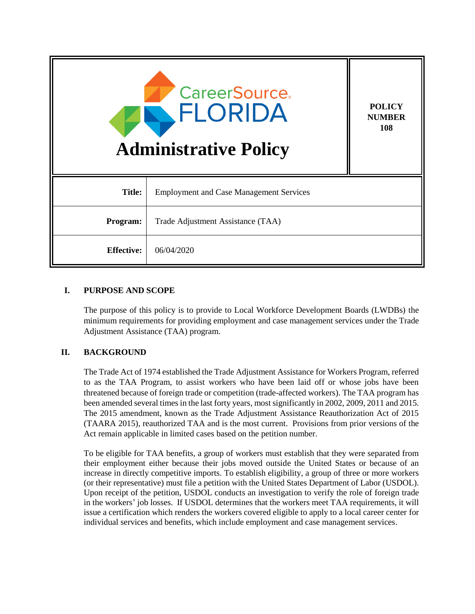| <b>CareerSource.</b><br>FLORIDA<br><b>Administrative Policy</b> |                                                | <b>POLICY</b><br><b>NUMBER</b><br>108 |
|-----------------------------------------------------------------|------------------------------------------------|---------------------------------------|
| <b>Title:</b>                                                   | <b>Employment and Case Management Services</b> |                                       |
| Program:                                                        | Trade Adjustment Assistance (TAA)              |                                       |
| <b>Effective:</b>                                               | 06/04/2020                                     |                                       |

# **I. PURPOSE AND SCOPE**

The purpose of this policy is to provide to Local Workforce Development Boards (LWDBs) the minimum requirements for providing employment and case management services under the Trade Adjustment Assistance (TAA) program.

# **II. BACKGROUND**

The Trade Act of 1974 established the Trade Adjustment Assistance for Workers Program, referred to as the TAA Program, to assist workers who have been laid off or whose jobs have been threatened because of foreign trade or competition (trade-affected workers). The TAA program has been amended several times in the last forty years, most significantly in 2002, 2009, 2011 and 2015. The 2015 amendment, known as the Trade Adjustment Assistance Reauthorization Act of 2015 (TAARA 2015), reauthorized TAA and is the most current. Provisions from prior versions of the Act remain applicable in limited cases based on the petition number.

To be eligible for TAA benefits, a group of workers must establish that they were separated from their employment either because their jobs moved outside the United States or because of an increase in directly competitive imports. To establish eligibility, a group of three or more workers (or their representative) must file a petition with the United States Department of Labor (USDOL). Upon receipt of the petition, USDOL conducts an investigation to verify the role of foreign trade in the workers' job losses. If USDOL determines that the workers meet TAA requirements, it will issue a certification which renders the workers covered eligible to apply to a local career center for individual services and benefits, which include employment and case management services.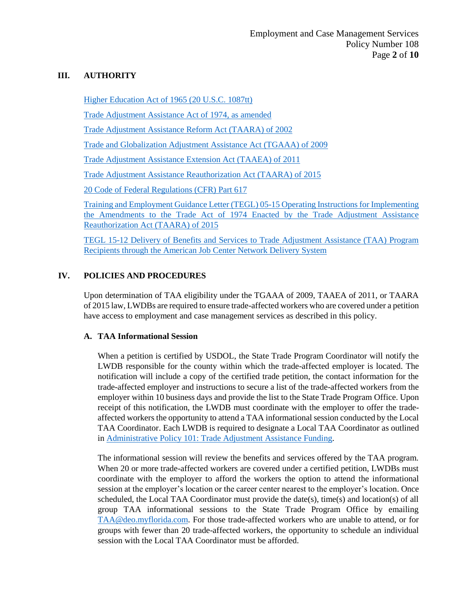### **III. AUTHORITY**

[Higher Education Act of 1965 \(20 U.S.C. 1087tt\)](https://www.govinfo.gov/app/details/USCODE-2011-title20/USCODE-2011-title20-chap28-subchapIV-partE-sec1087tt)

[Trade Adjustment Assistance Act of 1974, as amended](https://www.dol.gov/sites/dolgov/files/ETA/tradeact/pdfs/amd2002.pdf)

[Trade Adjustment Assistance Reform Act \(TAARA\) of 2002](https://www.doleta.gov/tradeact/directives/107PL210.pdf)

[Trade and Globalization Adjustment Assistance Act \(TGAAA\) of 2009](https://www.gpo.gov/fdsys/pkg/PLAW-111publ5/pdf/PLAW-111publ5.pdf)

[Trade Adjustment Assistance Extension Act \(TAAEA\) of 2011](https://www.gpo.gov/fdsys/pkg/PLAW-112publ40/pdf/PLAW-112publ40.pdf)

[Trade Adjustment Assistance Reauthorization Act \(TAARA\) of 2015](https://www.congress.gov/114/plaws/publ27/PLAW-114publ27.pdf)

[20 Code of Federal Regulations \(CFR\) Part 617](https://www.doleta.gov/tradeact/pdf/20cfr5-617.pdf)

[Training and Employment Guidance Letter \(TEGL\) 05-15 Operating Instructions for Implementing](https://wdr.doleta.gov/directives/attach/TEGL/TEGL_05-15_Acc.pdf)  [the Amendments to the Trade Act of 1974 Enacted by the Trade Adjustment Assistance](https://wdr.doleta.gov/directives/attach/TEGL/TEGL_05-15_Acc.pdf)  [Reauthorization Act \(TAARA\) of 2015](https://wdr.doleta.gov/directives/attach/TEGL/TEGL_05-15_Acc.pdf)

[TEGL 15-12 Delivery of Benefits and Services to Trade Adjustment Assistance \(TAA\) Program](https://wdr.doleta.gov/directives/attach/TEGL/TEGL_15_12_Acc.pdf)  [Recipients through the American Job Center Network Delivery System](https://wdr.doleta.gov/directives/attach/TEGL/TEGL_15_12_Acc.pdf)

# **IV. POLICIES AND PROCEDURES**

Upon determination of TAA eligibility under the TGAAA of 2009, TAAEA of 2011, or TAARA of 2015 law, LWDBs are required to ensure trade-affected workers who are covered under a petition have access to employment and case management services as described in this policy.

### **A. TAA Informational Session**

When a petition is certified by USDOL, the State Trade Program Coordinator will notify the LWDB responsible for the county within which the trade-affected employer is located. The notification will include a copy of the certified trade petition, the contact information for the trade-affected employer and instructions to secure a list of the trade-affected workers from the employer within 10 business days and provide the list to the State Trade Program Office. Upon receipt of this notification, the LWDB must coordinate with the employer to offer the tradeaffected workers the opportunity to attend a TAA informational session conducted by the Local TAA Coordinator. Each LWDB is required to designate a Local TAA Coordinator as outlined in [Administrative Policy 101: Trade Adjustment Assistance Funding.](http://floridajobs.org/docs/default-source/lwdb-resources/policy-and-guidance/guidance-papers/2019-guidance-papers/adminpol101_taafunding.pdf?sfvrsn=2)

The informational session will review the benefits and services offered by the TAA program. When 20 or more trade-affected workers are covered under a certified petition, LWDBs must coordinate with the employer to afford the workers the option to attend the informational session at the employer's location or the career center nearest to the employer's location. Once scheduled, the Local TAA Coordinator must provide the date(s), time(s) and location(s) of all group TAA informational sessions to the State Trade Program Office by emailing [TAA@deo.myflorida.com.](mailto:TAA@deo.myflorida.com) For those trade-affected workers who are unable to attend, or for groups with fewer than 20 trade-affected workers, the opportunity to schedule an individual session with the Local TAA Coordinator must be afforded.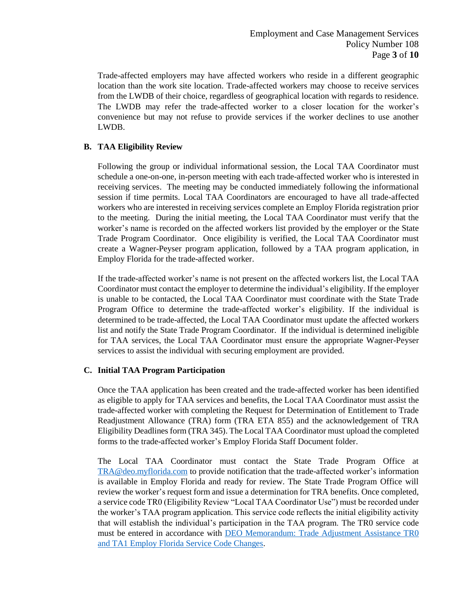Trade-affected employers may have affected workers who reside in a different geographic location than the work site location. Trade-affected workers may choose to receive services from the LWDB of their choice, regardless of geographical location with regards to residence. The LWDB may refer the trade-affected worker to a closer location for the worker's convenience but may not refuse to provide services if the worker declines to use another LWDB.

# **B. TAA Eligibility Review**

Following the group or individual informational session, the Local TAA Coordinator must schedule a one-on-one, in-person meeting with each trade-affected worker who is interested in receiving services. The meeting may be conducted immediately following the informational session if time permits. Local TAA Coordinators are encouraged to have all trade-affected workers who are interested in receiving services complete an Employ Florida registration prior to the meeting. During the initial meeting, the Local TAA Coordinator must verify that the worker's name is recorded on the affected workers list provided by the employer or the State Trade Program Coordinator. Once eligibility is verified, the Local TAA Coordinator must create a Wagner-Peyser program application, followed by a TAA program application, in Employ Florida for the trade-affected worker.

If the trade-affected worker's name is not present on the affected workers list, the Local TAA Coordinator must contact the employer to determine the individual's eligibility. If the employer is unable to be contacted, the Local TAA Coordinator must coordinate with the State Trade Program Office to determine the trade-affected worker's eligibility. If the individual is determined to be trade-affected, the Local TAA Coordinator must update the affected workers list and notify the State Trade Program Coordinator. If the individual is determined ineligible for TAA services, the Local TAA Coordinator must ensure the appropriate Wagner-Peyser services to assist the individual with securing employment are provided.

### **C. Initial TAA Program Participation**

Once the TAA application has been created and the trade-affected worker has been identified as eligible to apply for TAA services and benefits, the Local TAA Coordinator must assist the trade-affected worker with completing the Request for Determination of Entitlement to Trade Readjustment Allowance (TRA) form (TRA ETA 855) and the acknowledgement of TRA Eligibility Deadlines form (TRA 345). The Local TAA Coordinator must upload the completed forms to the trade-affected worker's Employ Florida Staff Document folder.

The Local TAA Coordinator must contact the State Trade Program Office at [TRA@deo.myflorida.com](mailto:TRA@deo.myflorida.com) to provide notification that the trade-affected worker's information is available in Employ Florida and ready for review. The State Trade Program Office will review the worker's request form and issue a determination for TRA benefits. Once completed, a service code TR0 (Eligibility Review "Local TAA Coordinator Use") must be recorded under the worker's TAA program application. This service code reflects the initial eligibility activity that will establish the individual's participation in the TAA program. The TR0 service code must be entered in accordance with [DEO Memorandum: Trade Adjustment Assistance TR0](http://floridajobs.org/docs/default-source/lwdb-resources/policy-and-guidance/memos/2019-memoranda/memo_taa-ta1andtr0-employflsvccodechanges.pdf?sfvrsn=6)  [and TA1 Employ Florida Service Code Changes.](http://floridajobs.org/docs/default-source/lwdb-resources/policy-and-guidance/memos/2019-memoranda/memo_taa-ta1andtr0-employflsvccodechanges.pdf?sfvrsn=6)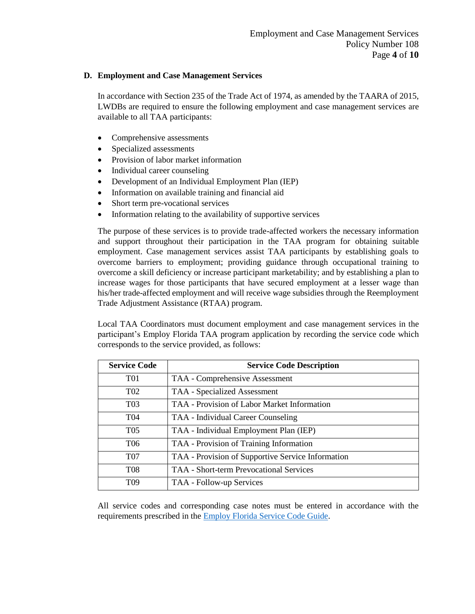### **D. Employment and Case Management Services**

In accordance with Section 235 of the Trade Act of 1974, as amended by the TAARA of 2015, LWDBs are required to ensure the following employment and case management services are available to all TAA participants:

- Comprehensive assessments
- Specialized assessments
- Provision of labor market information
- Individual career counseling
- Development of an Individual Employment Plan (IEP)
- Information on available training and financial aid
- Short term pre-vocational services
- Information relating to the availability of supportive services

The purpose of these services is to provide trade-affected workers the necessary information and support throughout their participation in the TAA program for obtaining suitable employment. Case management services assist TAA participants by establishing goals to overcome barriers to employment; providing guidance through occupational training to overcome a skill deficiency or increase participant marketability; and by establishing a plan to increase wages for those participants that have secured employment at a lesser wage than his/her trade-affected employment and will receive wage subsidies through the Reemployment Trade Adjustment Assistance (RTAA) program.

Local TAA Coordinators must document employment and case management services in the participant's Employ Florida TAA program application by recording the service code which corresponds to the service provided, as follows:

| <b>Service Code</b> | <b>Service Code Description</b>                   |
|---------------------|---------------------------------------------------|
| T <sub>01</sub>     | TAA - Comprehensive Assessment                    |
| T <sub>02</sub>     | <b>TAA</b> - Specialized Assessment               |
| T <sub>03</sub>     | TAA - Provision of Labor Market Information       |
| T <sub>04</sub>     | TAA - Individual Career Counseling                |
| T <sub>05</sub>     | TAA - Individual Employment Plan (IEP)            |
| T <sub>06</sub>     | TAA - Provision of Training Information           |
| <b>T07</b>          | TAA - Provision of Supportive Service Information |
| <b>T08</b>          | <b>TAA - Short-term Prevocational Services</b>    |
| T <sub>09</sub>     | TAA - Follow-up Services                          |

All service codes and corresponding case notes must be entered in accordance with the requirements prescribed in the [Employ Florida Service Code Guide.](http://www.floridajobs.org/docs/default-source/lwdb-resources/programs-and-resources/wioa/2020-wioa/service-code-guide-update_june2020.pdf?sfvrsn=aa1a46b0_2)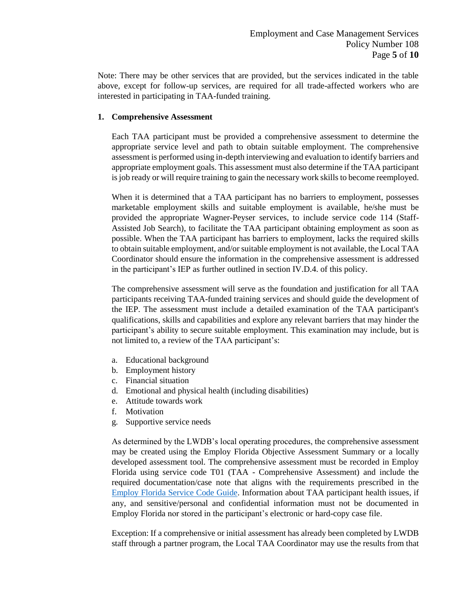Note: There may be other services that are provided, but the services indicated in the table above, except for follow-up services, are required for all trade-affected workers who are interested in participating in TAA-funded training.

### **1. Comprehensive Assessment**

Each TAA participant must be provided a comprehensive assessment to determine the appropriate service level and path to obtain suitable employment. The comprehensive assessment is performed using in-depth interviewing and evaluation to identify barriers and appropriate employment goals. This assessment must also determine if the TAA participant is job ready or will require training to gain the necessary work skills to become reemployed.

When it is determined that a TAA participant has no barriers to employment, possesses marketable employment skills and suitable employment is available, he/she must be provided the appropriate Wagner-Peyser services, to include service code 114 (Staff-Assisted Job Search), to facilitate the TAA participant obtaining employment as soon as possible. When the TAA participant has barriers to employment, lacks the required skills to obtain suitable employment, and/or suitable employment is not available, the Local TAA Coordinator should ensure the information in the comprehensive assessment is addressed in the participant's IEP as further outlined in section IV.D.4. of this policy.

The comprehensive assessment will serve as the foundation and justification for all TAA participants receiving TAA-funded training services and should guide the development of the IEP. The assessment must include a detailed examination of the TAA participant's qualifications, skills and capabilities and explore any relevant barriers that may hinder the participant's ability to secure suitable employment. This examination may include, but is not limited to, a review of the TAA participant's:

- a. Educational background
- b. Employment history
- c. Financial situation
- d. Emotional and physical health (including disabilities)
- e. Attitude towards work
- f. Motivation
- g. Supportive service needs

As determined by the LWDB's local operating procedures, the comprehensive assessment may be created using the Employ Florida Objective Assessment Summary or a locally developed assessment tool. The comprehensive assessment must be recorded in Employ Florida using service code T01 (TAA - Comprehensive Assessment) and include the required documentation/case note that aligns with the requirements prescribed in the [Employ Florida Service Code Guide.](http://www.floridajobs.org/docs/default-source/lwdb-resources/programs-and-resources/wioa/2020-wioa/service-code-guide-update_june2020.pdf?sfvrsn=aa1a46b0_2) Information about TAA participant health issues, if any, and sensitive/personal and confidential information must not be documented in Employ Florida nor stored in the participant's electronic or hard-copy case file.

Exception: If a comprehensive or initial assessment has already been completed by LWDB staff through a partner program, the Local TAA Coordinator may use the results from that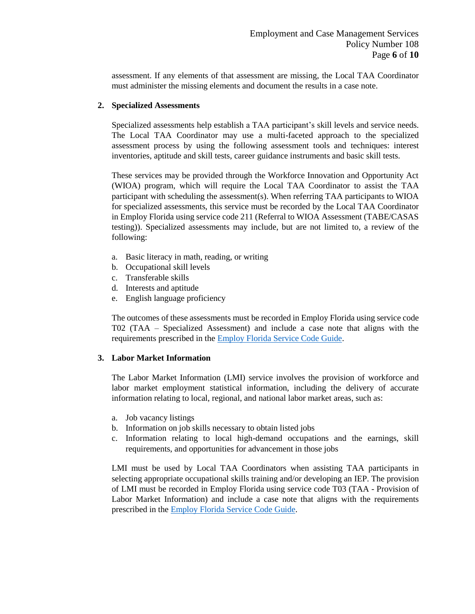assessment. If any elements of that assessment are missing, the Local TAA Coordinator must administer the missing elements and document the results in a case note.

### **2. Specialized Assessments**

Specialized assessments help establish a TAA participant's skill levels and service needs. The Local TAA Coordinator may use a multi-faceted approach to the specialized assessment process by using the following assessment tools and techniques: interest inventories, aptitude and skill tests, career guidance instruments and basic skill tests.

These services may be provided through the Workforce Innovation and Opportunity Act (WIOA) program, which will require the Local TAA Coordinator to assist the TAA participant with scheduling the assessment(s). When referring TAA participants to WIOA for specialized assessments, this service must be recorded by the Local TAA Coordinator in Employ Florida using service code 211 (Referral to WIOA Assessment (TABE/CASAS testing)). Specialized assessments may include, but are not limited to, a review of the following:

- a. Basic literacy in math, reading, or writing
- b. Occupational skill levels
- c. Transferable skills
- d. Interests and aptitude
- e. English language proficiency

The outcomes of these assessments must be recorded in Employ Florida using service code T02 (TAA – Specialized Assessment) and include a case note that aligns with the requirements prescribed in the [Employ Florida Service Code Guide.](http://www.floridajobs.org/docs/default-source/lwdb-resources/programs-and-resources/wioa/2020-wioa/service-code-guide-update_june2020.pdf?sfvrsn=aa1a46b0_2)

### **3. Labor Market Information**

The Labor Market Information (LMI) service involves the provision of workforce and labor market employment statistical information, including the delivery of accurate information relating to local, regional, and national labor market areas, such as:

- a. Job vacancy listings
- b. Information on job skills necessary to obtain listed jobs
- c. Information relating to local high-demand occupations and the earnings, skill requirements, and opportunities for advancement in those jobs

LMI must be used by Local TAA Coordinators when assisting TAA participants in selecting appropriate occupational skills training and/or developing an IEP. The provision of LMI must be recorded in Employ Florida using service code T03 (TAA - Provision of Labor Market Information) and include a case note that aligns with the requirements prescribed in the [Employ Florida Service Code Guide.](http://www.floridajobs.org/docs/default-source/lwdb-resources/programs-and-resources/wioa/2020-wioa/service-code-guide-update_june2020.pdf?sfvrsn=aa1a46b0_2)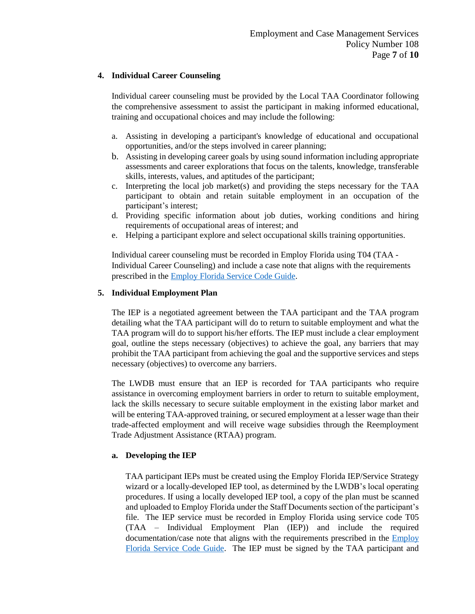### **4. Individual Career Counseling**

Individual career counseling must be provided by the Local TAA Coordinator following the comprehensive assessment to assist the participant in making informed educational, training and occupational choices and may include the following:

- a. Assisting in developing a participant's knowledge of educational and occupational opportunities, and/or the steps involved in career planning;
- b. Assisting in developing career goals by using sound information including appropriate assessments and career explorations that focus on the talents, knowledge, transferable skills, interests, values, and aptitudes of the participant;
- c. Interpreting the local job market(s) and providing the steps necessary for the TAA participant to obtain and retain suitable employment in an occupation of the participant's interest;
- d. Providing specific information about job duties, working conditions and hiring requirements of occupational areas of interest; and
- e. Helping a participant explore and select occupational skills training opportunities.

Individual career counseling must be recorded in Employ Florida using T04 (TAA - Individual Career Counseling) and include a case note that aligns with the requirements prescribed in the [Employ Florida Service Code Guide.](http://www.floridajobs.org/docs/default-source/lwdb-resources/programs-and-resources/wioa/2020-wioa/service-code-guide-update_june2020.pdf?sfvrsn=aa1a46b0_2)

### **5. Individual Employment Plan**

The IEP is a negotiated agreement between the TAA participant and the TAA program detailing what the TAA participant will do to return to suitable employment and what the TAA program will do to support his/her efforts. The IEP must include a clear employment goal, outline the steps necessary (objectives) to achieve the goal, any barriers that may prohibit the TAA participant from achieving the goal and the supportive services and steps necessary (objectives) to overcome any barriers.

The LWDB must ensure that an IEP is recorded for TAA participants who require assistance in overcoming employment barriers in order to return to suitable employment, lack the skills necessary to secure suitable employment in the existing labor market and will be entering TAA-approved training, or secured employment at a lesser wage than their trade-affected employment and will receive wage subsidies through the Reemployment Trade Adjustment Assistance (RTAA) program.

### **a. Developing the IEP**

TAA participant IEPs must be created using the Employ Florida IEP/Service Strategy wizard or a locally-developed IEP tool, as determined by the LWDB's local operating procedures. If using a locally developed IEP tool, a copy of the plan must be scanned and uploaded to Employ Florida under the Staff Documents section of the participant's file. The IEP service must be recorded in Employ Florida using service code T05 (TAA – Individual Employment Plan (IEP)) and include the required documentation/case note that aligns with the requirements prescribed in the [Employ](http://www.floridajobs.org/docs/default-source/lwdb-resources/programs-and-resources/wioa/2020-wioa/service-code-guide-update_june2020.pdf?sfvrsn=aa1a46b0_2)  [Florida Service Code Guide.](http://www.floridajobs.org/docs/default-source/lwdb-resources/programs-and-resources/wioa/2020-wioa/service-code-guide-update_june2020.pdf?sfvrsn=aa1a46b0_2) The IEP must be signed by the TAA participant and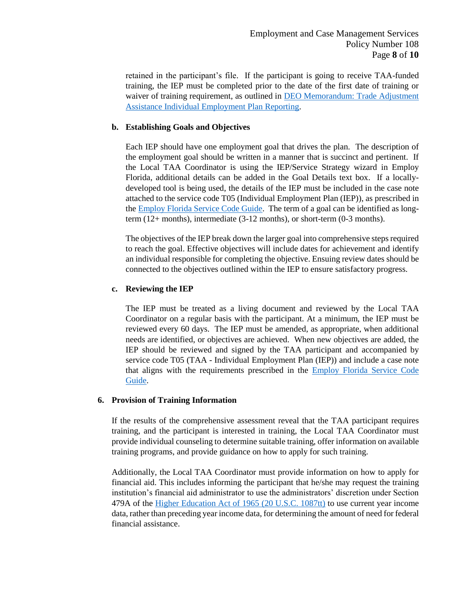retained in the participant's file. If the participant is going to receive TAA-funded training, the IEP must be completed prior to the date of the first date of training or waiver of training requirement, as outlined in DEO Memorandum: Trade Adjustment [Assistance Individual Employment Plan Reporting.](http://floridajobs.org/docs/default-source/lwdb-resources/policy-and-guidance/memos/2018-memos/memo_taa-iep.pdf?sfvrsn=2)

### **b. Establishing Goals and Objectives**

Each IEP should have one employment goal that drives the plan. The description of the employment goal should be written in a manner that is succinct and pertinent. If the Local TAA Coordinator is using the IEP/Service Strategy wizard in Employ Florida, additional details can be added in the Goal Details text box. If a locallydeveloped tool is being used, the details of the IEP must be included in the case note attached to the service code T05 (Individual Employment Plan (IEP)), as prescribed in the [Employ Florida Service Code Guide.](http://www.floridajobs.org/docs/default-source/lwdb-resources/programs-and-resources/wioa/2020-wioa/service-code-guide-update_june2020.pdf?sfvrsn=aa1a46b0_2) The term of a goal can be identified as longterm (12+ months), intermediate (3-12 months), or short-term (0-3 months).

The objectives of the IEP break down the larger goal into comprehensive steps required to reach the goal. Effective objectives will include dates for achievement and identify an individual responsible for completing the objective. Ensuing review dates should be connected to the objectives outlined within the IEP to ensure satisfactory progress.

### **c. Reviewing the IEP**

The IEP must be treated as a living document and reviewed by the Local TAA Coordinator on a regular basis with the participant. At a minimum, the IEP must be reviewed every 60 days. The IEP must be amended, as appropriate, when additional needs are identified, or objectives are achieved. When new objectives are added, the IEP should be reviewed and signed by the TAA participant and accompanied by service code T05 (TAA - Individual Employment Plan (IEP)) and include a case note that aligns with the requirements prescribed in the [Employ Florida Service Code](http://www.floridajobs.org/docs/default-source/lwdb-resources/programs-and-resources/wioa/2020-wioa/service-code-guide-update_june2020.pdf?sfvrsn=aa1a46b0_2)  [Guide.](http://www.floridajobs.org/docs/default-source/lwdb-resources/programs-and-resources/wioa/2020-wioa/service-code-guide-update_june2020.pdf?sfvrsn=aa1a46b0_2)

### **6. Provision of Training Information**

If the results of the comprehensive assessment reveal that the TAA participant requires training, and the participant is interested in training, the Local TAA Coordinator must provide individual counseling to determine suitable training, offer information on available training programs, and provide guidance on how to apply for such training.

Additionally, the Local TAA Coordinator must provide information on how to apply for financial aid. This includes informing the participant that he/she may request the training institution's financial aid administrator to use the administrators' discretion under Section 479A of the [Higher Education Act of 1965 \(20 U.S.C. 1087tt\)](https://www.govinfo.gov/app/details/USCODE-2011-title20/USCODE-2011-title20-chap28-subchapIV-partE-sec1087tt) to use current year income data, rather than preceding year income data, for determining the amount of need for federal financial assistance.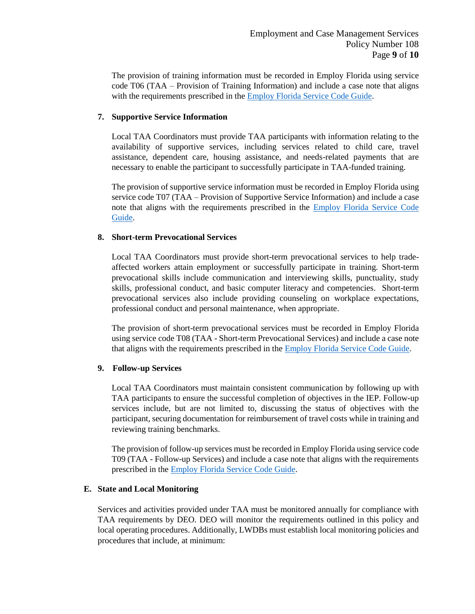The provision of training information must be recorded in Employ Florida using service code T06 (TAA – Provision of Training Information) and include a case note that aligns with the requirements prescribed in the **Employ Florida Service Code Guide**.

### **7. Supportive Service Information**

Local TAA Coordinators must provide TAA participants with information relating to the availability of supportive services, including services related to child care, travel assistance, dependent care, housing assistance, and needs-related payments that are necessary to enable the participant to successfully participate in TAA-funded training.

The provision of supportive service information must be recorded in Employ Florida using service code T07 (TAA – Provision of Supportive Service Information) and include a case note that aligns with the requirements prescribed in the [Employ Florida Service Code](http://www.floridajobs.org/docs/default-source/lwdb-resources/programs-and-resources/wioa/2020-wioa/service-code-guide-update_june2020.pdf?sfvrsn=aa1a46b0_2)  [Guide.](http://www.floridajobs.org/docs/default-source/lwdb-resources/programs-and-resources/wioa/2020-wioa/service-code-guide-update_june2020.pdf?sfvrsn=aa1a46b0_2)

### **8. Short-term Prevocational Services**

Local TAA Coordinators must provide short-term prevocational services to help tradeaffected workers attain employment or successfully participate in training. Short-term prevocational skills include communication and interviewing skills, punctuality, study skills, professional conduct, and basic computer literacy and competencies. Short-term prevocational services also include providing counseling on workplace expectations, professional conduct and personal maintenance, when appropriate.

The provision of short-term prevocational services must be recorded in Employ Florida using service code T08 (TAA - Short-term Prevocational Services) and include a case note that aligns with the requirements prescribed in the **Employ Florida Service Code Guide**.

### **9. Follow-up Services**

Local TAA Coordinators must maintain consistent communication by following up with TAA participants to ensure the successful completion of objectives in the IEP. Follow-up services include, but are not limited to, discussing the status of objectives with the participant, securing documentation for reimbursement of travel costs while in training and reviewing training benchmarks.

The provision of follow-up services must be recorded in Employ Florida using service code T09 (TAA - Follow-up Services) and include a case note that aligns with the requirements prescribed in the [Employ Florida Service Code Guide.](http://www.floridajobs.org/docs/default-source/lwdb-resources/programs-and-resources/wioa/2020-wioa/service-code-guide-update_june2020.pdf?sfvrsn=aa1a46b0_2)

### **E. State and Local Monitoring**

Services and activities provided under TAA must be monitored annually for compliance with TAA requirements by DEO. DEO will monitor the requirements outlined in this policy and local operating procedures. Additionally, LWDBs must establish local monitoring policies and procedures that include, at minimum: